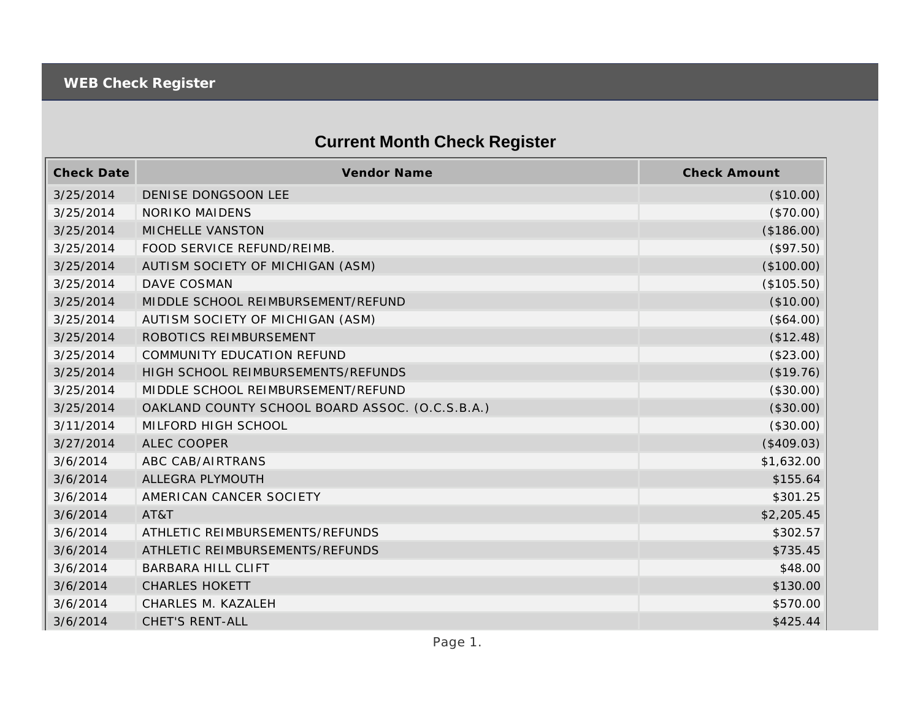## **Current Month Check Register**

| <b>Check Date</b> | Vendor Name                                     | <b>Check Amount</b> |
|-------------------|-------------------------------------------------|---------------------|
| 3/25/2014         | DENISE DONGSOON LEE                             | (\$10.00)           |
| 3/25/2014         | <b>NORIKO MAIDENS</b>                           | (\$70.00)           |
| 3/25/2014         | MICHELLE VANSTON                                | (\$186.00)          |
| 3/25/2014         | FOOD SERVICE REFUND/REIMB.                      | (\$97.50)           |
| 3/25/2014         | AUTISM SOCIETY OF MICHIGAN (ASM)                | (\$100.00)          |
| 3/25/2014         | DAVE COSMAN                                     | (\$105.50)          |
| 3/25/2014         | MIDDLE SCHOOL REIMBURSEMENT/REFUND              | (\$10.00)           |
| 3/25/2014         | AUTISM SOCIETY OF MICHIGAN (ASM)                | (\$64.00)           |
| 3/25/2014         | ROBOTICS REIMBURSEMENT                          | (\$12.48)           |
| 3/25/2014         | COMMUNITY EDUCATION REFUND                      | (\$23.00)           |
| 3/25/2014         | HIGH SCHOOL REIMBURSEMENTS/REFUNDS              | (\$19.76)           |
| 3/25/2014         | MIDDLE SCHOOL REIMBURSEMENT/REFUND              | (\$30.00)           |
| 3/25/2014         | OAKLAND COUNTY SCHOOL BOARD ASSOC. (O.C.S.B.A.) | (\$30.00)           |
| 3/11/2014         | MILFORD HIGH SCHOOL                             | (\$30.00)           |
| 3/27/2014         | <b>ALEC COOPER</b>                              | (\$409.03)          |
| 3/6/2014          | ABC CAB/AIRTRANS                                | \$1,632.00          |
| 3/6/2014          | ALLEGRA PLYMOUTH                                | \$155.64            |
| 3/6/2014          | AMERICAN CANCER SOCIETY                         | \$301.25            |
| 3/6/2014          | AT&T                                            | \$2,205.45          |
| 3/6/2014          | ATHLETIC REIMBURSEMENTS/REFUNDS                 | \$302.57            |
| 3/6/2014          | ATHLETIC REIMBURSEMENTS/REFUNDS                 | \$735.45            |
| 3/6/2014          | <b>BARBARA HILL CLIFT</b>                       | \$48.00             |
| 3/6/2014          | <b>CHARLES HOKETT</b>                           | \$130.00            |
| 3/6/2014          | CHARLES M. KAZALEH                              | \$570.00            |
| 3/6/2014          | <b>CHET'S RENT-ALL</b>                          | \$425.44            |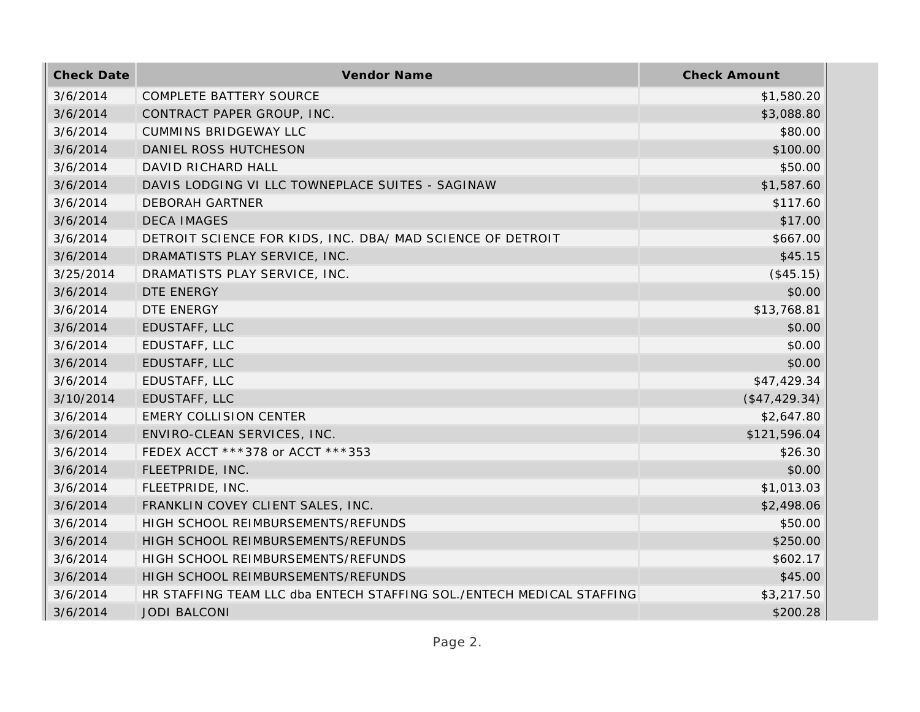| <b>Check Date</b> | Vendor Name                                                           | <b>Check Amount</b> |
|-------------------|-----------------------------------------------------------------------|---------------------|
| 3/6/2014          | <b>COMPLETE BATTERY SOURCE</b>                                        | \$1,580.20          |
| 3/6/2014          | CONTRACT PAPER GROUP, INC.                                            | \$3,088.80          |
| 3/6/2014          | <b>CUMMINS BRIDGEWAY LLC</b>                                          | \$80.00             |
| 3/6/2014          | DANIEL ROSS HUTCHESON                                                 | \$100.00            |
| 3/6/2014          | DAVID RICHARD HALL                                                    | \$50.00             |
| 3/6/2014          | DAVIS LODGING VI LLC TOWNEPLACE SUITES - SAGINAW                      | \$1,587.60          |
| 3/6/2014          | <b>DEBORAH GARTNER</b>                                                | \$117.60            |
| 3/6/2014          | <b>DECA IMAGES</b>                                                    | \$17.00             |
| 3/6/2014          | DETROIT SCIENCE FOR KIDS, INC. DBA/ MAD SCIENCE OF DETROIT            | \$667.00            |
| 3/6/2014          | DRAMATISTS PLAY SERVICE, INC.                                         | \$45.15             |
| 3/25/2014         | DRAMATISTS PLAY SERVICE, INC.                                         | (\$45.15)           |
| 3/6/2014          | DTE ENERGY                                                            | \$0.00              |
| 3/6/2014          | DTE ENERGY                                                            | \$13,768.81         |
| 3/6/2014          | EDUSTAFF, LLC                                                         | \$0.00              |
| 3/6/2014          | EDUSTAFF, LLC                                                         | \$0.00              |
| 3/6/2014          | EDUSTAFF, LLC                                                         | \$0.00              |
| 3/6/2014          | EDUSTAFF, LLC                                                         | \$47,429.34         |
| 3/10/2014         | EDUSTAFF, LLC                                                         | (\$47,429.34)       |
| 3/6/2014          | <b>EMERY COLLISION CENTER</b>                                         | \$2,647.80          |
| 3/6/2014          | ENVIRO-CLEAN SERVICES, INC.                                           | \$121,596.04        |
| 3/6/2014          | FEDEX ACCT ***378 or ACCT ***353                                      | \$26.30             |
| 3/6/2014          | FLEETPRIDE, INC.                                                      | \$0.00              |
| 3/6/2014          | FLEETPRIDE, INC.                                                      | \$1,013.03          |
| 3/6/2014          | FRANKLIN COVEY CLIENT SALES, INC.                                     | \$2,498.06          |
| 3/6/2014          | HIGH SCHOOL REIMBURSEMENTS/REFUNDS                                    | \$50.00             |
| 3/6/2014          | HIGH SCHOOL REIMBURSEMENTS/REFUNDS                                    | \$250.00            |
| 3/6/2014          | HIGH SCHOOL REIMBURSEMENTS/REFUNDS                                    | \$602.17            |
| 3/6/2014          | HIGH SCHOOL REIMBURSEMENTS/REFUNDS                                    | \$45.00             |
| 3/6/2014          | HR STAFFING TEAM LLC dba ENTECH STAFFING SOL./ENTECH MEDICAL STAFFING | \$3,217.50          |
| 3/6/2014          | <b>JODI BALCONI</b>                                                   | \$200.28            |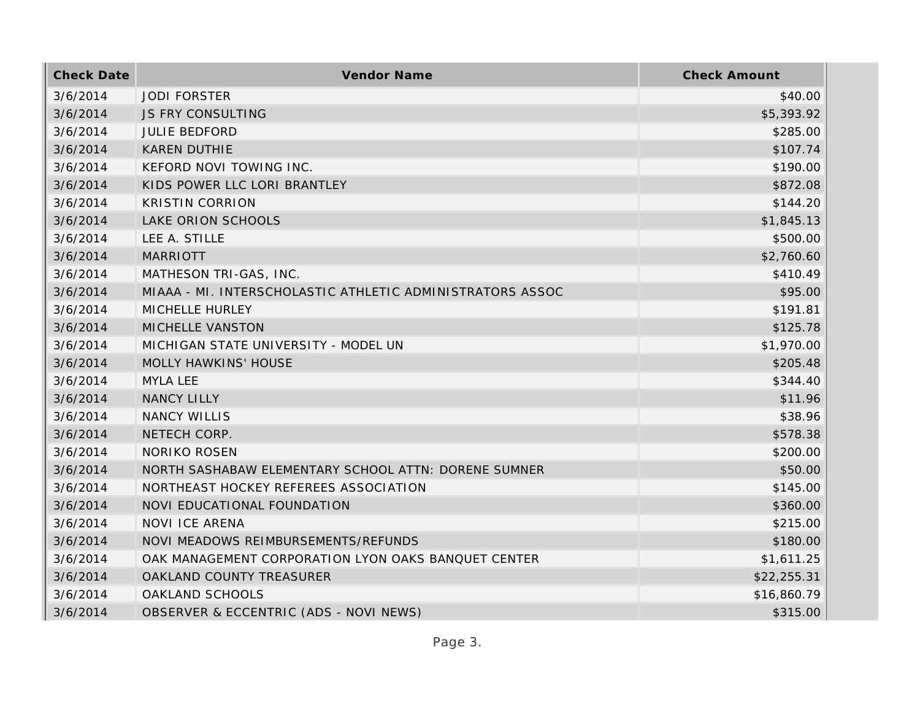| <b>Check Date</b> | Vendor Name                                               | <b>Check Amount</b> |
|-------------------|-----------------------------------------------------------|---------------------|
| 3/6/2014          | <b>JODI FORSTER</b>                                       | \$40.00             |
| 3/6/2014          | <b>JS FRY CONSULTING</b>                                  | \$5,393.92          |
| 3/6/2014          | <b>JULIE BEDFORD</b>                                      | \$285.00            |
| 3/6/2014          | <b>KAREN DUTHIE</b>                                       | \$107.74            |
| 3/6/2014          | KEFORD NOVI TOWING INC.                                   | \$190.00            |
| 3/6/2014          | KIDS POWER LLC LORI BRANTLEY                              | \$872.08            |
| 3/6/2014          | <b>KRISTIN CORRION</b>                                    | \$144.20            |
| 3/6/2014          | LAKE ORION SCHOOLS                                        | \$1,845.13          |
| 3/6/2014          | LEE A. STILLE                                             | \$500.00            |
| 3/6/2014          | <b>MARRIOTT</b>                                           | \$2,760.60          |
| 3/6/2014          | MATHESON TRI-GAS, INC.                                    | \$410.49            |
| 3/6/2014          | MIAAA - MI. INTERSCHOLASTIC ATHLETIC ADMINISTRATORS ASSOC | \$95.00             |
| 3/6/2014          | MICHELLE HURLEY                                           | \$191.81            |
| 3/6/2014          | MICHELLE VANSTON                                          | \$125.78            |
| 3/6/2014          | MICHIGAN STATE UNIVERSITY - MODEL UN                      | \$1,970.00          |
| 3/6/2014          | MOLLY HAWKINS' HOUSE                                      | \$205.48            |
| 3/6/2014          | MYLA LEE                                                  | \$344.40            |
| 3/6/2014          | <b>NANCY LILLY</b>                                        | \$11.96             |
| 3/6/2014          | <b>NANCY WILLIS</b>                                       | \$38.96             |
| 3/6/2014          | NETECH CORP.                                              | \$578.38            |
| 3/6/2014          | <b>NORIKO ROSEN</b>                                       | \$200.00            |
| 3/6/2014          | NORTH SASHABAW ELEMENTARY SCHOOL ATTN: DORENE SUMNER      | \$50.00             |
| 3/6/2014          | NORTHEAST HOCKEY REFEREES ASSOCIATION                     | \$145.00            |
| 3/6/2014          | NOVI EDUCATIONAL FOUNDATION                               | \$360.00            |
| 3/6/2014          | <b>NOVI ICE ARENA</b>                                     | \$215.00            |
| 3/6/2014          | NOVI MEADOWS REIMBURSEMENTS/REFUNDS                       | \$180.00            |
| 3/6/2014          | OAK MANAGEMENT CORPORATION LYON OAKS BANQUET CENTER       | \$1,611.25          |
| 3/6/2014          | OAKLAND COUNTY TREASURER                                  | \$22,255.31         |
| 3/6/2014          | OAKLAND SCHOOLS                                           | \$16,860.79         |
| 3/6/2014          | OBSERVER & ECCENTRIC (ADS - NOVI NEWS)                    | \$315.00            |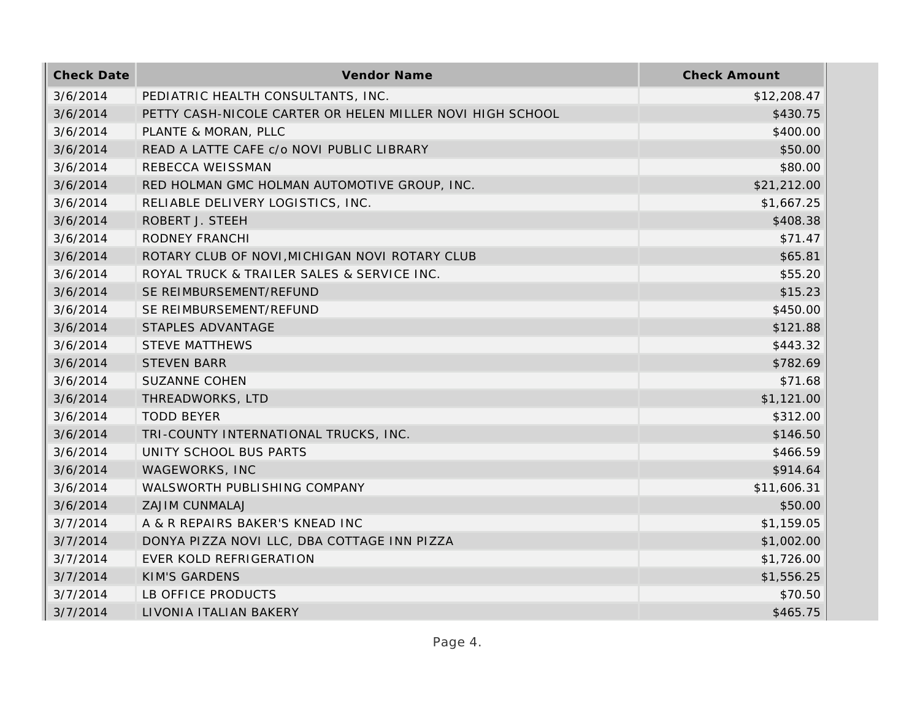| <b>Check Date</b> | Vendor Name                                               | <b>Check Amount</b> |
|-------------------|-----------------------------------------------------------|---------------------|
| 3/6/2014          | PEDIATRIC HEALTH CONSULTANTS, INC.                        | \$12,208.47         |
| 3/6/2014          | PETTY CASH-NICOLE CARTER OR HELEN MILLER NOVI HIGH SCHOOL | \$430.75            |
| 3/6/2014          | PLANTE & MORAN, PLLC                                      | \$400.00            |
| 3/6/2014          | READ A LATTE CAFE c/o NOVI PUBLIC LIBRARY                 | \$50.00             |
| 3/6/2014          | REBECCA WEISSMAN                                          | \$80.00             |
| 3/6/2014          | RED HOLMAN GMC HOLMAN AUTOMOTIVE GROUP, INC.              | \$21,212.00         |
| 3/6/2014          | RELIABLE DELIVERY LOGISTICS, INC.                         | \$1,667.25          |
| 3/6/2014          | ROBERT J. STEEH                                           | \$408.38            |
| 3/6/2014          | <b>RODNEY FRANCHI</b>                                     | \$71.47             |
| 3/6/2014          | ROTARY CLUB OF NOVI, MICHIGAN NOVI ROTARY CLUB            | \$65.81             |
| 3/6/2014          | ROYAL TRUCK & TRAILER SALES & SERVICE INC.                | \$55.20             |
| 3/6/2014          | SE REIMBURSEMENT/REFUND                                   | \$15.23             |
| 3/6/2014          | SE REIMBURSEMENT/REFUND                                   | \$450.00            |
| 3/6/2014          | STAPLES ADVANTAGE                                         | \$121.88            |
| 3/6/2014          | <b>STEVE MATTHEWS</b>                                     | \$443.32            |
| 3/6/2014          | <b>STEVEN BARR</b>                                        | \$782.69            |
| 3/6/2014          | <b>SUZANNE COHEN</b>                                      | \$71.68             |
| 3/6/2014          | THREADWORKS, LTD                                          | \$1,121.00          |
| 3/6/2014          | <b>TODD BEYER</b>                                         | \$312.00            |
| 3/6/2014          | TRI-COUNTY INTERNATIONAL TRUCKS, INC.                     | \$146.50            |
| 3/6/2014          | UNITY SCHOOL BUS PARTS                                    | \$466.59            |
| 3/6/2014          | WAGEWORKS, INC                                            | \$914.64            |
| 3/6/2014          | WALSWORTH PUBLISHING COMPANY                              | \$11,606.31         |
| 3/6/2014          | <b>ZAJIM CUNMALAJ</b>                                     | \$50.00             |
| 3/7/2014          | A & R REPAIRS BAKER'S KNEAD INC                           | \$1,159.05          |
| 3/7/2014          | DONYA PIZZA NOVI LLC, DBA COTTAGE INN PIZZA               | \$1,002.00          |
| 3/7/2014          | EVER KOLD REFRIGERATION                                   | \$1,726.00          |
| 3/7/2014          | <b>KIM'S GARDENS</b>                                      | \$1,556.25          |
| 3/7/2014          | LB OFFICE PRODUCTS                                        | \$70.50             |
| 3/7/2014          | LIVONIA ITALIAN BAKERY                                    | \$465.75            |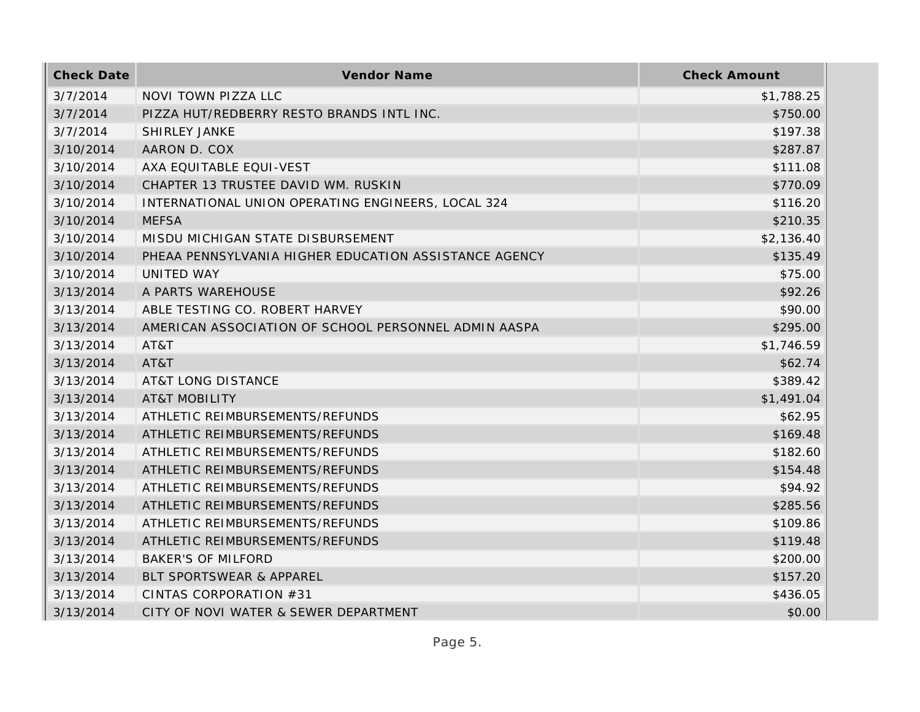| <b>Check Date</b> | Vendor Name                                           | <b>Check Amount</b> |
|-------------------|-------------------------------------------------------|---------------------|
| 3/7/2014          | NOVI TOWN PIZZA LLC                                   | \$1,788.25          |
| 3/7/2014          | PIZZA HUT/REDBERRY RESTO BRANDS INTL INC.             | \$750.00            |
| 3/7/2014          | SHIRLEY JANKE                                         | \$197.38            |
| 3/10/2014         | AARON D. COX                                          | \$287.87            |
| 3/10/2014         | AXA EQUITABLE EQUI-VEST                               | \$111.08            |
| 3/10/2014         | CHAPTER 13 TRUSTEE DAVID WM. RUSKIN                   | \$770.09            |
| 3/10/2014         | INTERNATIONAL UNION OPERATING ENGINEERS, LOCAL 324    | \$116.20            |
| 3/10/2014         | <b>MEFSA</b>                                          | \$210.35            |
| 3/10/2014         | MISDU MICHIGAN STATE DISBURSEMENT                     | \$2,136.40          |
| 3/10/2014         | PHEAA PENNSYLVANIA HIGHER EDUCATION ASSISTANCE AGENCY | \$135.49            |
| 3/10/2014         | UNITED WAY                                            | \$75.00             |
| 3/13/2014         | A PARTS WAREHOUSE                                     | \$92.26             |
| 3/13/2014         | ABLE TESTING CO. ROBERT HARVEY                        | \$90.00             |
| 3/13/2014         | AMERICAN ASSOCIATION OF SCHOOL PERSONNEL ADMIN AASPA  | \$295.00            |
| 3/13/2014         | AT&T                                                  | \$1,746.59          |
| 3/13/2014         | AT&T                                                  | \$62.74             |
| 3/13/2014         | <b>AT&amp;T LONG DISTANCE</b>                         | \$389.42            |
| 3/13/2014         | <b>AT&amp;T MOBILITY</b>                              | \$1,491.04          |
| 3/13/2014         | ATHLETIC REIMBURSEMENTS/REFUNDS                       | \$62.95             |
| 3/13/2014         | ATHLETIC REIMBURSEMENTS/REFUNDS                       | \$169.48            |
| 3/13/2014         | ATHLETIC REIMBURSEMENTS/REFUNDS                       | \$182.60            |
| 3/13/2014         | ATHLETIC REIMBURSEMENTS/REFUNDS                       | \$154.48            |
| 3/13/2014         | ATHLETIC REIMBURSEMENTS/REFUNDS                       | \$94.92             |
| 3/13/2014         | ATHLETIC REIMBURSEMENTS/REFUNDS                       | \$285.56            |
| 3/13/2014         | ATHLETIC REIMBURSEMENTS/REFUNDS                       | \$109.86            |
| 3/13/2014         | ATHLETIC REIMBURSEMENTS/REFUNDS                       | \$119.48            |
| 3/13/2014         | <b>BAKER'S OF MILFORD</b>                             | \$200.00            |
| 3/13/2014         | BLT SPORTSWEAR & APPAREL                              | \$157.20            |
| 3/13/2014         | CINTAS CORPORATION #31                                | \$436.05            |
| 3/13/2014         | CITY OF NOVI WATER & SEWER DEPARTMENT                 | \$0.00              |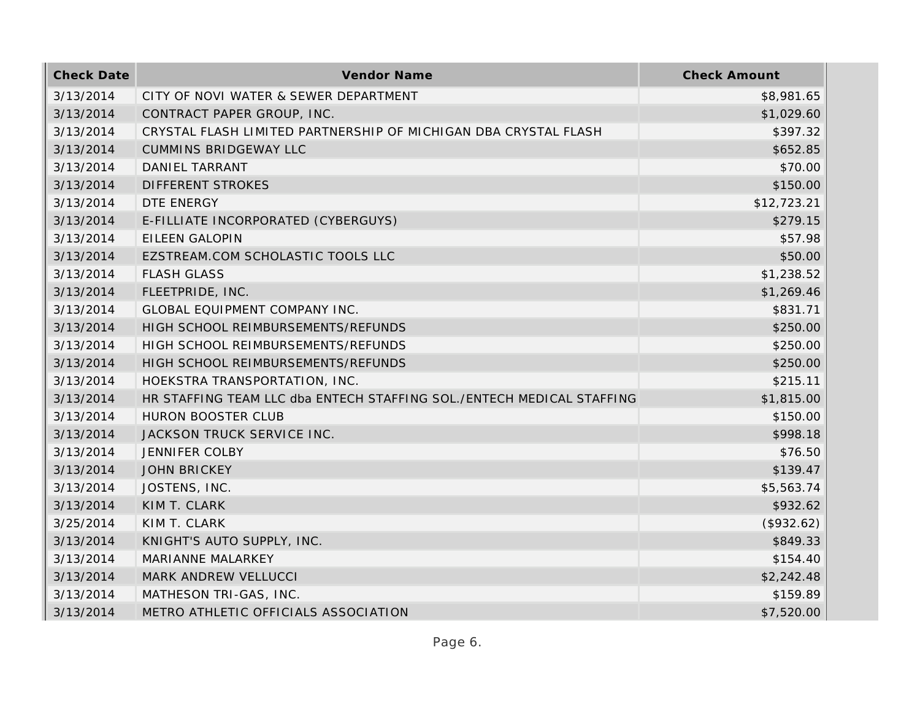| <b>Check Date</b> | Vendor Name                                                           | <b>Check Amount</b> |
|-------------------|-----------------------------------------------------------------------|---------------------|
| 3/13/2014         | CITY OF NOVI WATER & SEWER DEPARTMENT                                 | \$8,981.65          |
| 3/13/2014         | CONTRACT PAPER GROUP, INC.                                            | \$1,029.60          |
| 3/13/2014         | CRYSTAL FLASH LIMITED PARTNERSHIP OF MICHIGAN DBA CRYSTAL FLASH       | \$397.32            |
| 3/13/2014         | <b>CUMMINS BRIDGEWAY LLC</b>                                          | \$652.85            |
| 3/13/2014         | DANIEL TARRANT                                                        | \$70.00             |
| 3/13/2014         | <b>DIFFERENT STROKES</b>                                              | \$150.00            |
| 3/13/2014         | DTE ENERGY                                                            | \$12,723.21         |
| 3/13/2014         | E-FILLIATE INCORPORATED (CYBERGUYS)                                   | \$279.15            |
| 3/13/2014         | <b>EILEEN GALOPIN</b>                                                 | \$57.98             |
| 3/13/2014         | EZSTREAM.COM SCHOLASTIC TOOLS LLC                                     | \$50.00             |
| 3/13/2014         | <b>FLASH GLASS</b>                                                    | \$1,238.52          |
| 3/13/2014         | FLEETPRIDE, INC.                                                      | \$1,269.46          |
| 3/13/2014         | GLOBAL EQUIPMENT COMPANY INC.                                         | \$831.71            |
| 3/13/2014         | HIGH SCHOOL REIMBURSEMENTS/REFUNDS                                    | \$250.00            |
| 3/13/2014         | HIGH SCHOOL REIMBURSEMENTS/REFUNDS                                    | \$250.00            |
| 3/13/2014         | HIGH SCHOOL REIMBURSEMENTS/REFUNDS                                    | \$250.00            |
| 3/13/2014         | HOEKSTRA TRANSPORTATION, INC.                                         | \$215.11            |
| 3/13/2014         | HR STAFFING TEAM LLC dba ENTECH STAFFING SOL./ENTECH MEDICAL STAFFING | \$1,815.00          |
| 3/13/2014         | <b>HURON BOOSTER CLUB</b>                                             | \$150.00            |
| 3/13/2014         | JACKSON TRUCK SERVICE INC.                                            | \$998.18            |
| 3/13/2014         | <b>JENNIFER COLBY</b>                                                 | \$76.50             |
| 3/13/2014         | <b>JOHN BRICKEY</b>                                                   | \$139.47            |
| 3/13/2014         | JOSTENS, INC.                                                         | \$5,563.74          |
| 3/13/2014         | KIM T. CLARK                                                          | \$932.62            |
| 3/25/2014         | KIM T. CLARK                                                          | (\$932.62)          |
| 3/13/2014         | KNIGHT'S AUTO SUPPLY, INC.                                            | \$849.33            |
| 3/13/2014         | MARIANNE MALARKEY                                                     | \$154.40            |
| 3/13/2014         | MARK ANDREW VELLUCCI                                                  | \$2,242.48          |
| 3/13/2014         | MATHESON TRI-GAS, INC.                                                | \$159.89            |
| 3/13/2014         | METRO ATHLETIC OFFICIALS ASSOCIATION                                  | \$7,520.00          |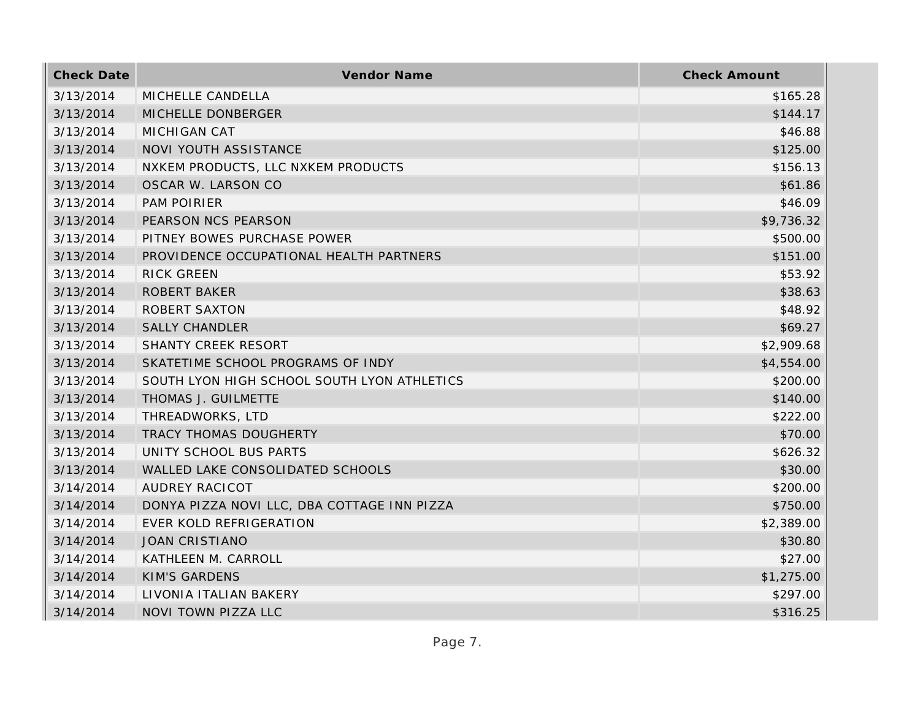| <b>Check Date</b> | Vendor Name                                 | <b>Check Amount</b> |
|-------------------|---------------------------------------------|---------------------|
| 3/13/2014         | MICHELLE CANDELLA                           | \$165.28            |
| 3/13/2014         | MICHELLE DONBERGER                          | \$144.17            |
| 3/13/2014         | MICHIGAN CAT                                | \$46.88             |
| 3/13/2014         | NOVI YOUTH ASSISTANCE                       | \$125.00            |
| 3/13/2014         | NXKEM PRODUCTS, LLC NXKEM PRODUCTS          | \$156.13            |
| 3/13/2014         | OSCAR W. LARSON CO                          | \$61.86             |
| 3/13/2014         | <b>PAM POIRIER</b>                          | \$46.09             |
| 3/13/2014         | PEARSON NCS PEARSON                         | \$9,736.32          |
| 3/13/2014         | PITNEY BOWES PURCHASE POWER                 | \$500.00            |
| 3/13/2014         | PROVIDENCE OCCUPATIONAL HEALTH PARTNERS     | \$151.00            |
| 3/13/2014         | <b>RICK GREEN</b>                           | \$53.92             |
| 3/13/2014         | <b>ROBERT BAKER</b>                         | \$38.63             |
| 3/13/2014         | <b>ROBERT SAXTON</b>                        | \$48.92             |
| 3/13/2014         | <b>SALLY CHANDLER</b>                       | \$69.27             |
| 3/13/2014         | SHANTY CREEK RESORT                         | \$2,909.68          |
| 3/13/2014         | SKATETIME SCHOOL PROGRAMS OF INDY           | \$4,554.00          |
| 3/13/2014         | SOUTH LYON HIGH SCHOOL SOUTH LYON ATHLETICS | \$200.00            |
| 3/13/2014         | THOMAS J. GUILMETTE                         | \$140.00            |
| 3/13/2014         | THREADWORKS, LTD                            | \$222.00            |
| 3/13/2014         | TRACY THOMAS DOUGHERTY                      | \$70.00             |
| 3/13/2014         | UNITY SCHOOL BUS PARTS                      | \$626.32            |
| 3/13/2014         | WALLED LAKE CONSOLIDATED SCHOOLS            | \$30.00             |
| 3/14/2014         | <b>AUDREY RACICOT</b>                       | \$200.00            |
| 3/14/2014         | DONYA PIZZA NOVI LLC, DBA COTTAGE INN PIZZA | \$750.00            |
| 3/14/2014         | EVER KOLD REFRIGERATION                     | \$2,389.00          |
| 3/14/2014         | <b>JOAN CRISTIANO</b>                       | \$30.80             |
| 3/14/2014         | KATHLEEN M. CARROLL                         | \$27.00             |
| 3/14/2014         | <b>KIM'S GARDENS</b>                        | \$1,275.00          |
| 3/14/2014         | LIVONIA ITALIAN BAKERY                      | \$297.00            |
| 3/14/2014         | <b>NOVI TOWN PIZZA LLC</b>                  | \$316.25            |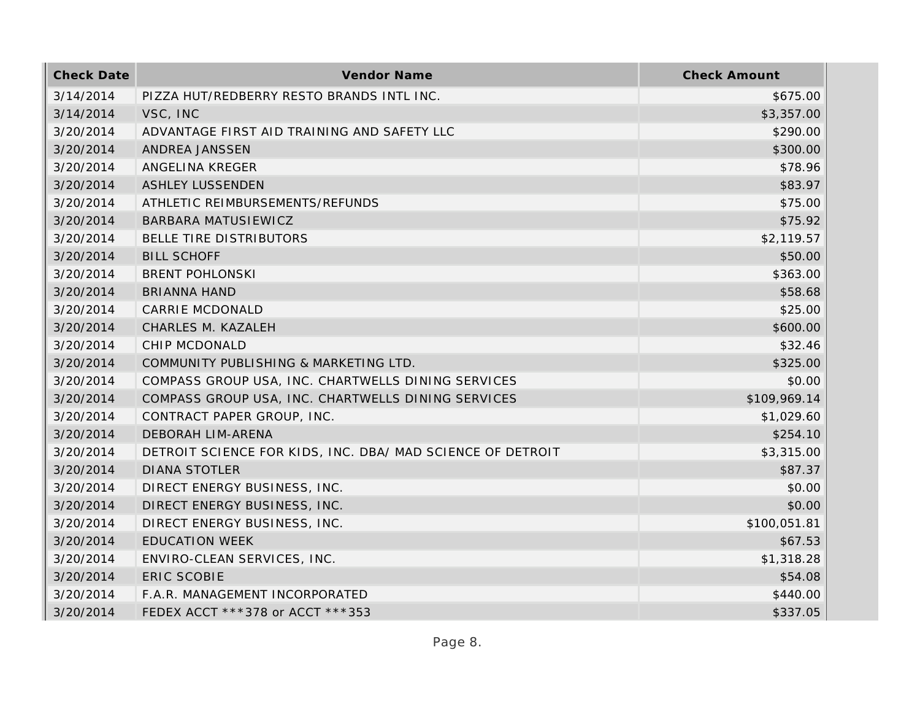| <b>Check Date</b> | Vendor Name                                                | <b>Check Amount</b> |
|-------------------|------------------------------------------------------------|---------------------|
| 3/14/2014         | PIZZA HUT/REDBERRY RESTO BRANDS INTL INC.                  | \$675.00            |
| 3/14/2014         | VSC, INC                                                   | \$3,357.00          |
| 3/20/2014         | ADVANTAGE FIRST AID TRAINING AND SAFETY LLC                | \$290.00            |
| 3/20/2014         | ANDREA JANSSEN                                             | \$300.00            |
| 3/20/2014         | ANGELINA KREGER                                            | \$78.96             |
| 3/20/2014         | <b>ASHLEY LUSSENDEN</b>                                    | \$83.97             |
| 3/20/2014         | ATHLETIC REIMBURSEMENTS/REFUNDS                            | \$75.00             |
| 3/20/2014         | BARBARA MATUSIEWICZ                                        | \$75.92             |
| 3/20/2014         | BELLE TIRE DISTRIBUTORS                                    | \$2,119.57          |
| 3/20/2014         | <b>BILL SCHOFF</b>                                         | \$50.00             |
| 3/20/2014         | <b>BRENT POHLONSKI</b>                                     | \$363.00            |
| 3/20/2014         | <b>BRIANNA HAND</b>                                        | \$58.68             |
| 3/20/2014         | <b>CARRIE MCDONALD</b>                                     | \$25.00             |
| 3/20/2014         | CHARLES M. KAZALEH                                         | \$600.00            |
| 3/20/2014         | CHIP MCDONALD                                              | \$32.46             |
| 3/20/2014         | COMMUNITY PUBLISHING & MARKETING LTD.                      | \$325.00            |
| 3/20/2014         | COMPASS GROUP USA, INC. CHARTWELLS DINING SERVICES         | \$0.00              |
| 3/20/2014         | COMPASS GROUP USA, INC. CHARTWELLS DINING SERVICES         | \$109,969.14        |
| 3/20/2014         | CONTRACT PAPER GROUP, INC.                                 | \$1,029.60          |
| 3/20/2014         | DEBORAH LIM-ARENA                                          | \$254.10            |
| 3/20/2014         | DETROIT SCIENCE FOR KIDS, INC. DBA/ MAD SCIENCE OF DETROIT | \$3,315.00          |
| 3/20/2014         | <b>DIANA STOTLER</b>                                       | \$87.37             |
| 3/20/2014         | DIRECT ENERGY BUSINESS, INC.                               | \$0.00              |
| 3/20/2014         | DIRECT ENERGY BUSINESS, INC.                               | \$0.00              |
| 3/20/2014         | DIRECT ENERGY BUSINESS, INC.                               | \$100,051.81        |
| 3/20/2014         | <b>EDUCATION WEEK</b>                                      | \$67.53             |
| 3/20/2014         | ENVIRO-CLEAN SERVICES, INC.                                | \$1,318.28          |
| 3/20/2014         | <b>ERIC SCOBIE</b>                                         | \$54.08             |
| 3/20/2014         | F.A.R. MANAGEMENT INCORPORATED                             | \$440.00            |
| 3/20/2014         | FEDEX ACCT ***378 or ACCT ***353                           | \$337.05            |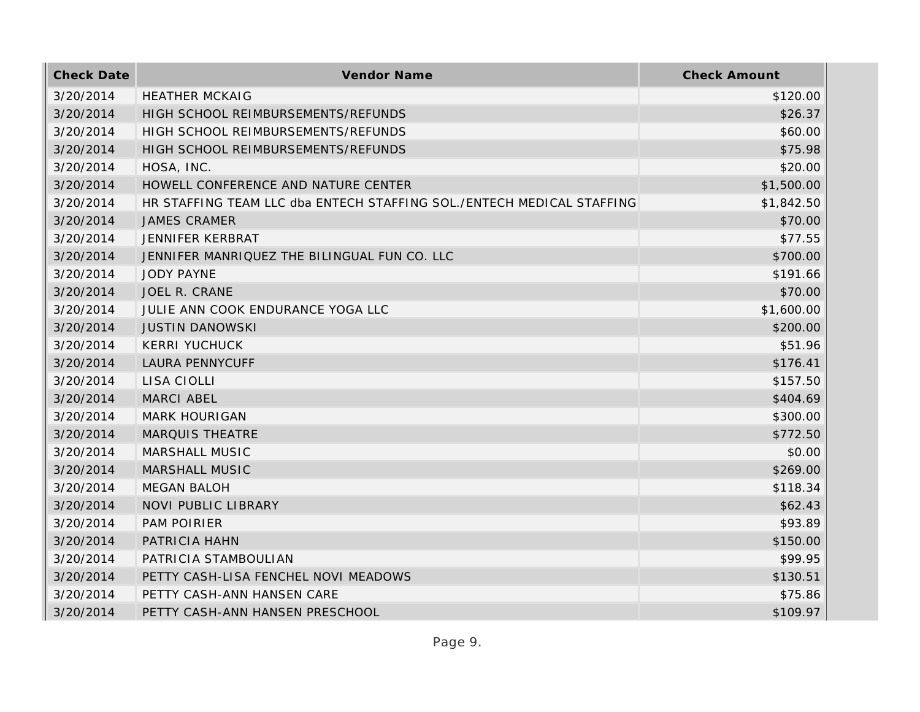| <b>Check Date</b> | Vendor Name                                                           | <b>Check Amount</b> |
|-------------------|-----------------------------------------------------------------------|---------------------|
| 3/20/2014         | <b>HEATHER MCKAIG</b>                                                 | \$120.00            |
| 3/20/2014         | HIGH SCHOOL REIMBURSEMENTS/REFUNDS                                    | \$26.37             |
| 3/20/2014         | HIGH SCHOOL REIMBURSEMENTS/REFUNDS                                    | \$60.00             |
| 3/20/2014         | HIGH SCHOOL REIMBURSEMENTS/REFUNDS                                    | \$75.98             |
| 3/20/2014         | HOSA, INC.                                                            | \$20.00             |
| 3/20/2014         | HOWELL CONFERENCE AND NATURE CENTER                                   | \$1,500.00          |
| 3/20/2014         | HR STAFFING TEAM LLC dba ENTECH STAFFING SOL./ENTECH MEDICAL STAFFING | \$1,842.50          |
| 3/20/2014         | <b>JAMES CRAMER</b>                                                   | \$70.00             |
| 3/20/2014         | JENNIFER KERBRAT                                                      | \$77.55             |
| 3/20/2014         | JENNIFER MANRIQUEZ THE BILINGUAL FUN CO. LLC                          | \$700.00            |
| 3/20/2014         | <b>JODY PAYNE</b>                                                     | \$191.66            |
| 3/20/2014         | <b>JOEL R. CRANE</b>                                                  | \$70.00             |
| 3/20/2014         | JULIE ANN COOK ENDURANCE YOGA LLC                                     | \$1,600.00          |
| 3/20/2014         | <b>JUSTIN DANOWSKI</b>                                                | \$200.00            |
| 3/20/2014         | <b>KERRI YUCHUCK</b>                                                  | \$51.96             |
| 3/20/2014         | <b>LAURA PENNYCUFF</b>                                                | \$176.41            |
| 3/20/2014         | LISA CIOLLI                                                           | \$157.50            |
| 3/20/2014         | <b>MARCI ABEL</b>                                                     | \$404.69            |
| 3/20/2014         | <b>MARK HOURIGAN</b>                                                  | \$300.00            |
| 3/20/2014         | <b>MARQUIS THEATRE</b>                                                | \$772.50            |
| 3/20/2014         | MARSHALL MUSIC                                                        | \$0.00              |
| 3/20/2014         | MARSHALL MUSIC                                                        | \$269.00            |
| 3/20/2014         | <b>MEGAN BALOH</b>                                                    | \$118.34            |
| 3/20/2014         | <b>NOVI PUBLIC LIBRARY</b>                                            | \$62.43             |
| 3/20/2014         | <b>PAM POIRIER</b>                                                    | \$93.89             |
| 3/20/2014         | PATRICIA HAHN                                                         | \$150.00            |
| 3/20/2014         | PATRICIA STAMBOULIAN                                                  | \$99.95             |
| 3/20/2014         | PETTY CASH-LISA FENCHEL NOVI MEADOWS                                  | \$130.51            |
| 3/20/2014         | PETTY CASH-ANN HANSEN CARE                                            | \$75.86             |
| 3/20/2014         | PETTY CASH-ANN HANSEN PRESCHOOL                                       | \$109.97            |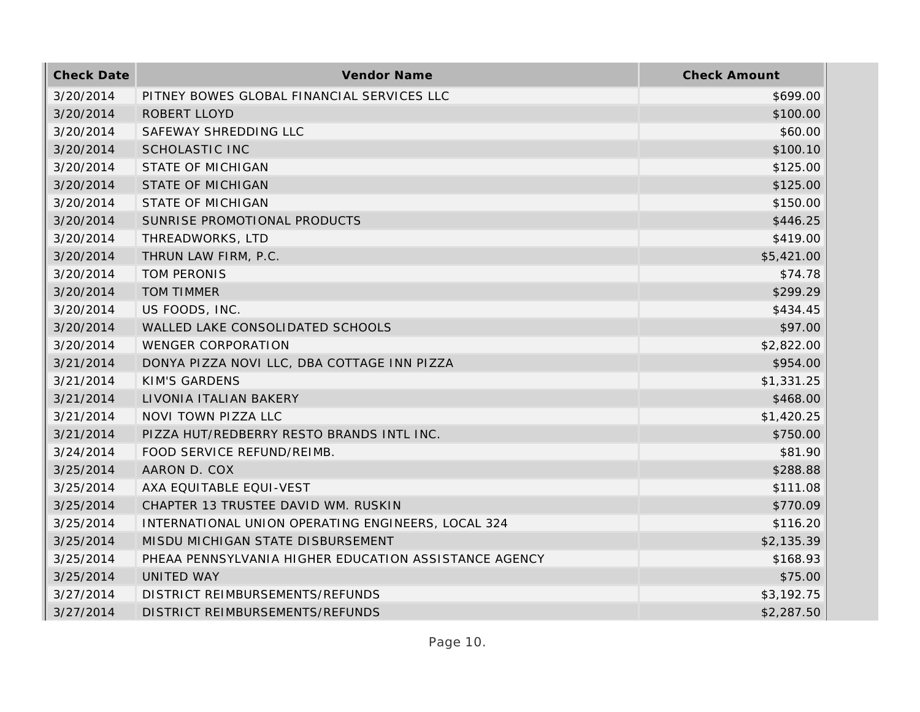| <b>Check Date</b> | Vendor Name                                           | <b>Check Amount</b> |
|-------------------|-------------------------------------------------------|---------------------|
| 3/20/2014         | PITNEY BOWES GLOBAL FINANCIAL SERVICES LLC            | \$699.00            |
| 3/20/2014         | <b>ROBERT LLOYD</b>                                   | \$100.00            |
| 3/20/2014         | SAFEWAY SHREDDING LLC                                 | \$60.00             |
| 3/20/2014         | <b>SCHOLASTIC INC</b>                                 | \$100.10            |
| 3/20/2014         | <b>STATE OF MICHIGAN</b>                              | \$125.00            |
| 3/20/2014         | <b>STATE OF MICHIGAN</b>                              | \$125.00            |
| 3/20/2014         | <b>STATE OF MICHIGAN</b>                              | \$150.00            |
| 3/20/2014         | SUNRISE PROMOTIONAL PRODUCTS                          | \$446.25            |
| 3/20/2014         | THREADWORKS, LTD                                      | \$419.00            |
| 3/20/2014         | THRUN LAW FIRM, P.C.                                  | \$5,421.00          |
| 3/20/2014         | TOM PERONIS                                           | \$74.78             |
| 3/20/2014         | <b>TOM TIMMER</b>                                     | \$299.29            |
| 3/20/2014         | US FOODS, INC.                                        | \$434.45            |
| 3/20/2014         | WALLED LAKE CONSOLIDATED SCHOOLS                      | \$97.00             |
| 3/20/2014         | <b>WENGER CORPORATION</b>                             | \$2,822.00          |
| 3/21/2014         | DONYA PIZZA NOVI LLC, DBA COTTAGE INN PIZZA           | \$954.00            |
| 3/21/2014         | <b>KIM'S GARDENS</b>                                  | \$1,331.25          |
| 3/21/2014         | LIVONIA ITALIAN BAKERY                                | \$468.00            |
| 3/21/2014         | NOVI TOWN PIZZA LLC                                   | \$1,420.25          |
| 3/21/2014         | PIZZA HUT/REDBERRY RESTO BRANDS INTL INC.             | \$750.00            |
| 3/24/2014         | FOOD SERVICE REFUND/REIMB.                            | \$81.90             |
| 3/25/2014         | AARON D. COX                                          | \$288.88            |
| 3/25/2014         | AXA EQUITABLE EQUI-VEST                               | \$111.08            |
| 3/25/2014         | CHAPTER 13 TRUSTEE DAVID WM. RUSKIN                   | \$770.09            |
| 3/25/2014         | INTERNATIONAL UNION OPERATING ENGINEERS, LOCAL 324    | \$116.20            |
| 3/25/2014         | MISDU MICHIGAN STATE DISBURSEMENT                     | \$2,135.39          |
| 3/25/2014         | PHEAA PENNSYLVANIA HIGHER EDUCATION ASSISTANCE AGENCY | \$168.93            |
| 3/25/2014         | UNITED WAY                                            | \$75.00             |
| 3/27/2014         | DISTRICT REIMBURSEMENTS/REFUNDS                       | \$3,192.75          |
| 3/27/2014         | DISTRICT REIMBURSEMENTS/REFUNDS                       | \$2,287.50          |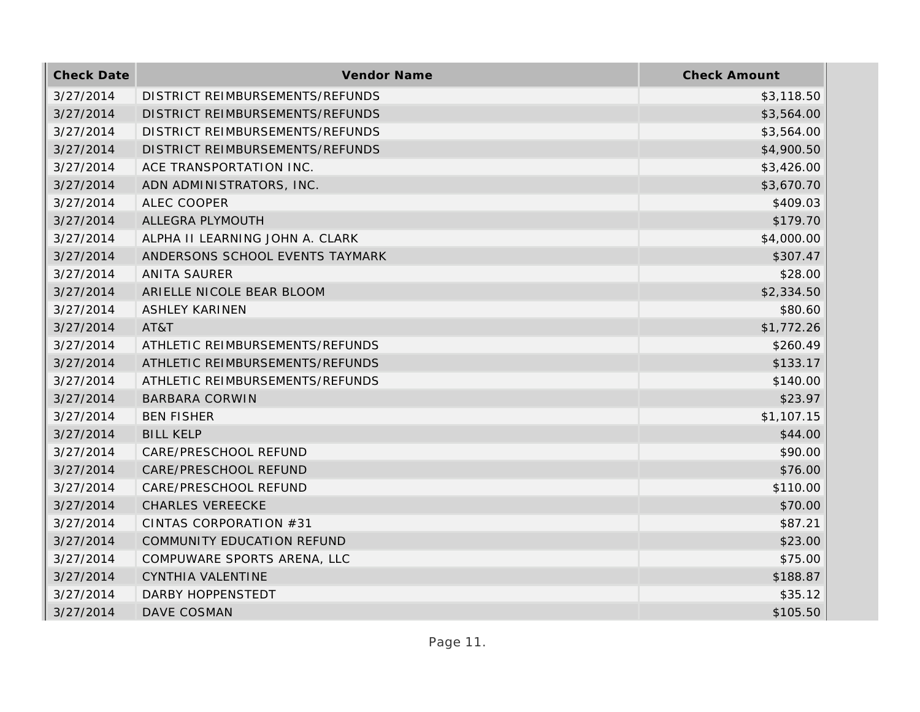| <b>Check Date</b> | Vendor Name                     | <b>Check Amount</b> |
|-------------------|---------------------------------|---------------------|
| 3/27/2014         | DISTRICT REIMBURSEMENTS/REFUNDS | \$3,118.50          |
| 3/27/2014         | DISTRICT REIMBURSEMENTS/REFUNDS | \$3,564.00          |
| 3/27/2014         | DISTRICT REIMBURSEMENTS/REFUNDS | \$3,564.00          |
| 3/27/2014         | DISTRICT REIMBURSEMENTS/REFUNDS | \$4,900.50          |
| 3/27/2014         | ACE TRANSPORTATION INC.         | \$3,426.00          |
| 3/27/2014         | ADN ADMINISTRATORS, INC.        | \$3,670.70          |
| 3/27/2014         | <b>ALEC COOPER</b>              | \$409.03            |
| 3/27/2014         | ALLEGRA PLYMOUTH                | \$179.70            |
| 3/27/2014         | ALPHA II LEARNING JOHN A. CLARK | \$4,000.00          |
| 3/27/2014         | ANDERSONS SCHOOL EVENTS TAYMARK | \$307.47            |
| 3/27/2014         | <b>ANITA SAURER</b>             | \$28.00             |
| 3/27/2014         | ARIELLE NICOLE BEAR BLOOM       | \$2,334.50          |
| 3/27/2014         | <b>ASHLEY KARINEN</b>           | \$80.60             |
| 3/27/2014         | AT&T                            | \$1,772.26          |
| 3/27/2014         | ATHLETIC REIMBURSEMENTS/REFUNDS | \$260.49            |
| 3/27/2014         | ATHLETIC REIMBURSEMENTS/REFUNDS | \$133.17            |
| 3/27/2014         | ATHLETIC REIMBURSEMENTS/REFUNDS | \$140.00            |
| 3/27/2014         | <b>BARBARA CORWIN</b>           | \$23.97             |
| 3/27/2014         | <b>BEN FISHER</b>               | \$1,107.15          |
| 3/27/2014         | <b>BILL KELP</b>                | \$44.00             |
| 3/27/2014         | CARE/PRESCHOOL REFUND           | \$90.00             |
| 3/27/2014         | CARE/PRESCHOOL REFUND           | \$76.00             |
| 3/27/2014         | CARE/PRESCHOOL REFUND           | \$110.00            |
| 3/27/2014         | <b>CHARLES VEREECKE</b>         | \$70.00             |
| 3/27/2014         | CINTAS CORPORATION #31          | \$87.21             |
| 3/27/2014         | COMMUNITY EDUCATION REFUND      | \$23.00             |
| 3/27/2014         | COMPUWARE SPORTS ARENA, LLC     | \$75.00             |
| 3/27/2014         | CYNTHIA VALENTINE               | \$188.87            |
| 3/27/2014         | DARBY HOPPENSTEDT               | \$35.12             |
| 3/27/2014         | DAVE COSMAN                     | \$105.50            |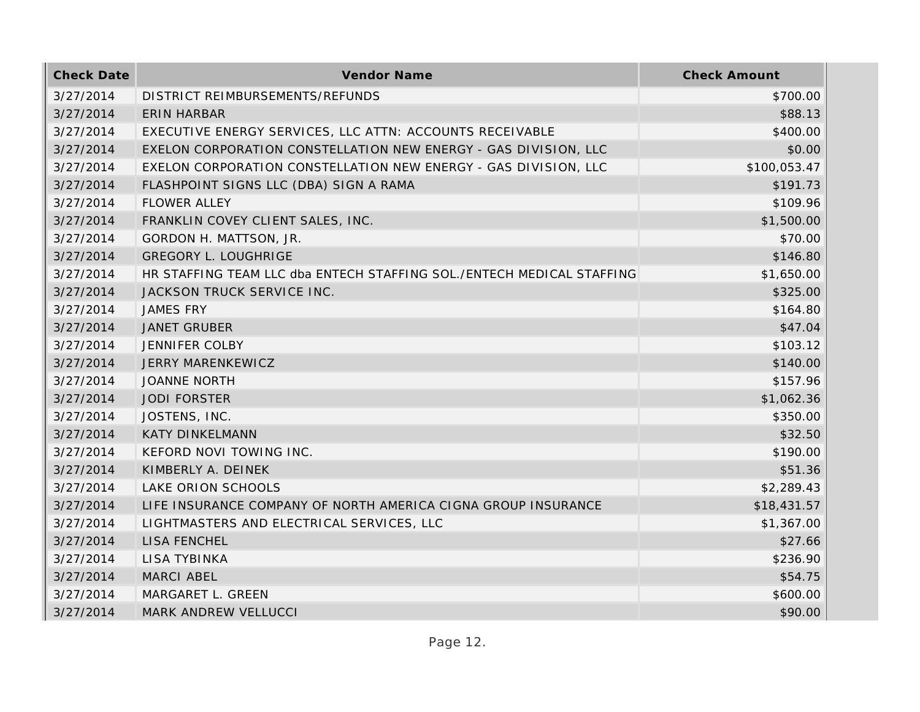| <b>Check Date</b> | Vendor Name                                                           | <b>Check Amount</b> |
|-------------------|-----------------------------------------------------------------------|---------------------|
| 3/27/2014         | DISTRICT REIMBURSEMENTS/REFUNDS                                       | \$700.00            |
| 3/27/2014         | <b>ERIN HARBAR</b>                                                    | \$88.13             |
| 3/27/2014         | EXECUTIVE ENERGY SERVICES, LLC ATTN: ACCOUNTS RECEIVABLE              | \$400.00            |
| 3/27/2014         | EXELON CORPORATION CONSTELLATION NEW ENERGY - GAS DIVISION, LLC       | \$0.00              |
| 3/27/2014         | EXELON CORPORATION CONSTELLATION NEW ENERGY - GAS DIVISION, LLC       | \$100,053.47        |
| 3/27/2014         | FLASHPOINT SIGNS LLC (DBA) SIGN A RAMA                                | \$191.73            |
| 3/27/2014         | <b>FLOWER ALLEY</b>                                                   | \$109.96            |
| 3/27/2014         | FRANKLIN COVEY CLIENT SALES, INC.                                     | \$1,500.00          |
| 3/27/2014         | GORDON H. MATTSON, JR.                                                | \$70.00             |
| 3/27/2014         | <b>GREGORY L. LOUGHRIGE</b>                                           | \$146.80            |
| 3/27/2014         | HR STAFFING TEAM LLC dba ENTECH STAFFING SOL./ENTECH MEDICAL STAFFING | \$1,650.00          |
| 3/27/2014         | JACKSON TRUCK SERVICE INC.                                            | \$325.00            |
| 3/27/2014         | <b>JAMES FRY</b>                                                      | \$164.80            |
| 3/27/2014         | <b>JANET GRUBER</b>                                                   | \$47.04             |
| 3/27/2014         | <b>JENNIFER COLBY</b>                                                 | \$103.12            |
| 3/27/2014         | JERRY MARENKEWICZ                                                     | \$140.00            |
| 3/27/2014         | <b>JOANNE NORTH</b>                                                   | \$157.96            |
| 3/27/2014         | <b>JODI FORSTER</b>                                                   | \$1,062.36          |
| 3/27/2014         | JOSTENS, INC.                                                         | \$350.00            |
| 3/27/2014         | <b>KATY DINKELMANN</b>                                                | \$32.50             |
| 3/27/2014         | KEFORD NOVI TOWING INC.                                               | \$190.00            |
| 3/27/2014         | KIMBERLY A. DEINEK                                                    | \$51.36             |
| 3/27/2014         | LAKE ORION SCHOOLS                                                    | \$2,289.43          |
| 3/27/2014         | LIFE INSURANCE COMPANY OF NORTH AMERICA CIGNA GROUP INSURANCE         | \$18,431.57         |
| 3/27/2014         | LIGHTMASTERS AND ELECTRICAL SERVICES, LLC                             | \$1,367.00          |
| 3/27/2014         | LISA FENCHEL                                                          | \$27.66             |
| 3/27/2014         | <b>LISA TYBINKA</b>                                                   | \$236.90            |
| 3/27/2014         | MARCI ABEL                                                            | \$54.75             |
| 3/27/2014         | MARGARET L. GREEN                                                     | \$600.00            |
| 3/27/2014         | MARK ANDREW VELLUCCI                                                  | \$90.00             |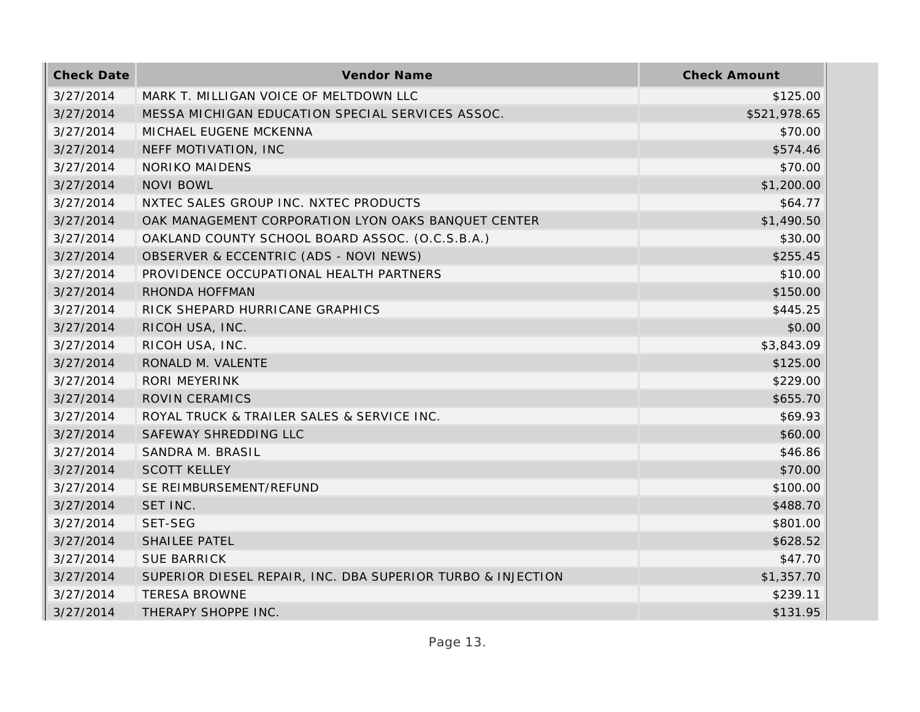| <b>Check Date</b> | Vendor Name                                                 | <b>Check Amount</b> |
|-------------------|-------------------------------------------------------------|---------------------|
| 3/27/2014         | MARK T. MILLIGAN VOICE OF MELTDOWN LLC                      | \$125.00            |
| 3/27/2014         | MESSA MICHIGAN EDUCATION SPECIAL SERVICES ASSOC.            | \$521,978.65        |
| 3/27/2014         | MICHAEL EUGENE MCKENNA                                      | \$70.00             |
| 3/27/2014         | NEFF MOTIVATION, INC                                        | \$574.46            |
| 3/27/2014         | <b>NORIKO MAIDENS</b>                                       | \$70.00             |
| 3/27/2014         | <b>NOVI BOWL</b>                                            | \$1,200.00          |
| 3/27/2014         | NXTEC SALES GROUP INC. NXTEC PRODUCTS                       | \$64.77             |
| 3/27/2014         | OAK MANAGEMENT CORPORATION LYON OAKS BANQUET CENTER         | \$1,490.50          |
| 3/27/2014         | OAKLAND COUNTY SCHOOL BOARD ASSOC. (O.C.S.B.A.)             | \$30.00             |
| 3/27/2014         | OBSERVER & ECCENTRIC (ADS - NOVI NEWS)                      | \$255.45            |
| 3/27/2014         | PROVIDENCE OCCUPATIONAL HEALTH PARTNERS                     | \$10.00             |
| 3/27/2014         | RHONDA HOFFMAN                                              | \$150.00            |
| 3/27/2014         | RICK SHEPARD HURRICANE GRAPHICS                             | \$445.25            |
| 3/27/2014         | RICOH USA, INC.                                             | \$0.00              |
| 3/27/2014         | RICOH USA, INC.                                             | \$3,843.09          |
| 3/27/2014         | RONALD M. VALENTE                                           | \$125.00            |
| 3/27/2014         | <b>RORI MEYERINK</b>                                        | \$229.00            |
| 3/27/2014         | <b>ROVIN CERAMICS</b>                                       | \$655.70            |
| 3/27/2014         | ROYAL TRUCK & TRAILER SALES & SERVICE INC.                  | \$69.93             |
| 3/27/2014         | SAFEWAY SHREDDING LLC                                       | \$60.00             |
| 3/27/2014         | SANDRA M. BRASIL                                            | \$46.86             |
| 3/27/2014         | <b>SCOTT KELLEY</b>                                         | \$70.00             |
| 3/27/2014         | SE REIMBURSEMENT/REFUND                                     | \$100.00            |
| 3/27/2014         | SET INC.                                                    | \$488.70            |
| 3/27/2014         | SET-SEG                                                     | \$801.00            |
| 3/27/2014         | <b>SHAILEE PATEL</b>                                        | \$628.52            |
| 3/27/2014         | <b>SUE BARRICK</b>                                          | \$47.70             |
| 3/27/2014         | SUPERIOR DIESEL REPAIR, INC. DBA SUPERIOR TURBO & INJECTION | \$1,357.70          |
| 3/27/2014         | <b>TERESA BROWNE</b>                                        | \$239.11            |
| 3/27/2014         | THERAPY SHOPPE INC.                                         | \$131.95            |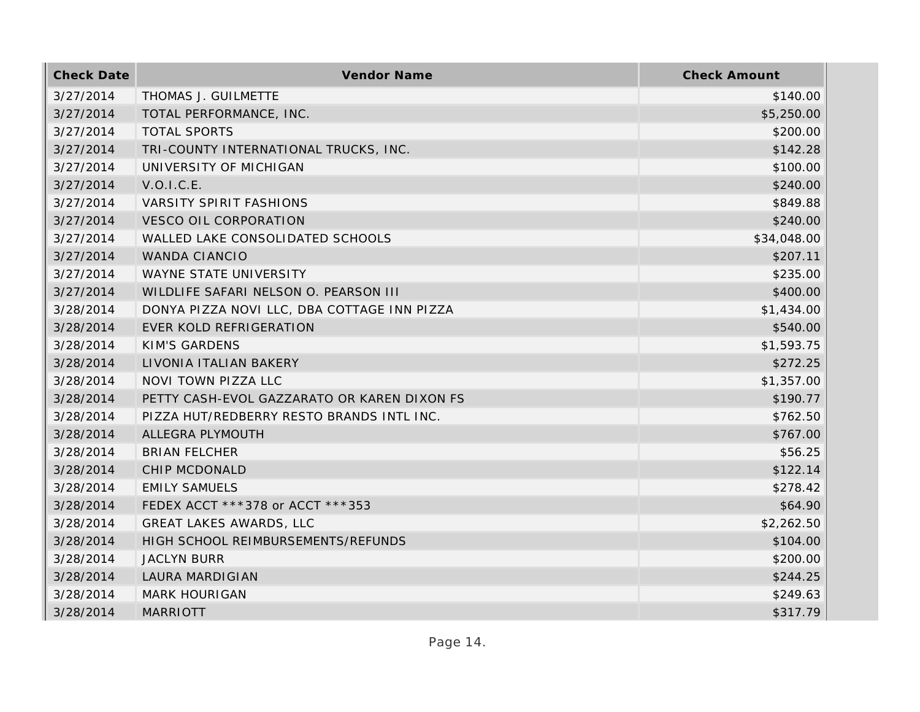| <b>Check Date</b> | Vendor Name                                 | <b>Check Amount</b> |
|-------------------|---------------------------------------------|---------------------|
| 3/27/2014         | THOMAS J. GUILMETTE                         | \$140.00            |
| 3/27/2014         | TOTAL PERFORMANCE, INC.                     | \$5,250.00          |
| 3/27/2014         | <b>TOTAL SPORTS</b>                         | \$200.00            |
| 3/27/2014         | TRI-COUNTY INTERNATIONAL TRUCKS, INC.       | \$142.28            |
| 3/27/2014         | UNIVERSITY OF MICHIGAN                      | \$100.00            |
| 3/27/2014         | V.O.I.C.E.                                  | \$240.00            |
| 3/27/2014         | <b>VARSITY SPIRIT FASHIONS</b>              | \$849.88            |
| 3/27/2014         | <b>VESCO OIL CORPORATION</b>                | \$240.00            |
| 3/27/2014         | WALLED LAKE CONSOLIDATED SCHOOLS            | \$34,048.00         |
| 3/27/2014         | WANDA CIANCIO                               | \$207.11            |
| 3/27/2014         | WAYNE STATE UNIVERSITY                      | \$235.00            |
| 3/27/2014         | WILDLIFE SAFARI NELSON O. PEARSON III       | \$400.00            |
| 3/28/2014         | DONYA PIZZA NOVI LLC, DBA COTTAGE INN PIZZA | \$1,434.00          |
| 3/28/2014         | EVER KOLD REFRIGERATION                     | \$540.00            |
| 3/28/2014         | <b>KIM'S GARDENS</b>                        | \$1,593.75          |
| 3/28/2014         | LIVONIA ITALIAN BAKERY                      | \$272.25            |
| 3/28/2014         | <b>NOVI TOWN PIZZA LLC</b>                  | \$1,357.00          |
| 3/28/2014         | PETTY CASH-EVOL GAZZARATO OR KAREN DIXON FS | \$190.77            |
| 3/28/2014         | PIZZA HUT/REDBERRY RESTO BRANDS INTL INC.   | \$762.50            |
| 3/28/2014         | ALLEGRA PLYMOUTH                            | \$767.00            |
| 3/28/2014         | <b>BRIAN FELCHER</b>                        | \$56.25             |
| 3/28/2014         | CHIP MCDONALD                               | \$122.14            |
| 3/28/2014         | <b>EMILY SAMUELS</b>                        | \$278.42            |
| 3/28/2014         | FEDEX ACCT ***378 or ACCT ***353            | \$64.90             |
| 3/28/2014         | <b>GREAT LAKES AWARDS, LLC</b>              | \$2,262.50          |
| 3/28/2014         | HIGH SCHOOL REIMBURSEMENTS/REFUNDS          | \$104.00            |
| 3/28/2014         | <b>JACLYN BURR</b>                          | \$200.00            |
| 3/28/2014         | <b>LAURA MARDIGIAN</b>                      | \$244.25            |
| 3/28/2014         | <b>MARK HOURIGAN</b>                        | \$249.63            |
| 3/28/2014         | <b>MARRIOTT</b>                             | \$317.79            |